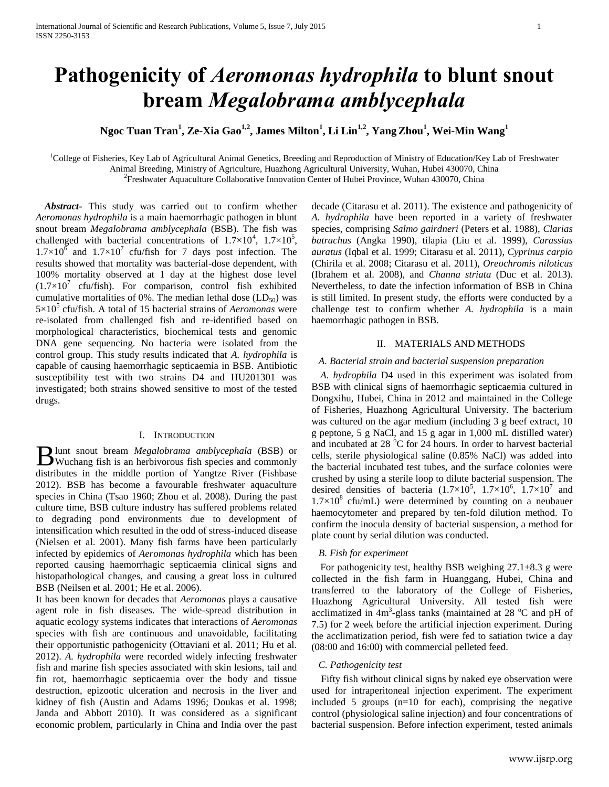# **Pathogenicity of** *Aeromonas hydrophila* **to blunt snout bream** *Megalobrama amblycephala*

## **Ngoc Tuan Tran<sup>1</sup> , Ze-Xia Gao1,2 , James Milton<sup>1</sup> , Li Lin1,2, YangZhou<sup>1</sup> , Wei-Min Wang<sup>1</sup>**

<sup>1</sup>College of Fisheries, Key Lab of Agricultural Animal Genetics, Breeding and Reproduction of Ministry of Education/Key Lab of Freshwater Animal Breeding, Ministry of Agriculture, Huazhong Agricultural University, Wuhan, Hubei 430070, China

<sup>2</sup> Freshwater Aquaculture Collaborative Innovation Center of Hubei Province, Wuhan 430070, China

*Abstract***-** This study was carried out to confirm whether *Aeromonas hydrophila* is a main haemorrhagic pathogen in blunt snout bream *Megalobrama amblycephala* (BSB). The fish was challenged with bacterial concentrations of  $1.7 \times 10^4$ ,  $1.7 \times 10^5$ ,  $1.7\times10^{6}$  and  $1.7\times10^{7}$  cfu/fish for 7 days post infection. The results showed that mortality was bacterial-dose dependent, with 100% mortality observed at 1 day at the highest dose level  $(1.7\times10^7 \text{ cfu/fish})$ . For comparison, control fish exhibited cumulative mortalities of 0%. The median lethal dose  $(LD_{50})$  was 5×10<sup>5</sup> cfu/fish. A total of 15 bacterial strains of *Aeromonas* were re-isolated from challenged fish and re-identified based on morphological characteristics, biochemical tests and genomic DNA gene sequencing. No bacteria were isolated from the control group. This study results indicated that *A. hydrophila* is capable of causing haemorrhagic septicaemia in BSB. Antibiotic susceptibility test with two strains D4 and HU201301 was investigated; both strains showed sensitive to most of the tested drugs.

## I. INTRODUCTION

lunt snout bream *Megalobrama amblycephala* (BSB) or **B** lunt snout bream *Megalobrama amblycephala* (BSB) or Wuchang fish is an herbivorous fish species and commonly distributes in the middle portion of Yangtze River (Fishbase 2012). BSB has become a favourable freshwater aquaculture species in China (Tsao 1960; Zhou et al. 2008). During the past culture time, BSB culture industry has suffered problems related to degrading pond environments due to development of intensification which resulted in the odd of stress-induced disease (Nielsen et al. 2001). Many fish farms have been particularly infected by epidemics of *Aeromonas hydrophila* which has been reported causing haemorrhagic septicaemia clinical signs and histopathological changes, and causing a great loss in cultured BSB (Neilsen et al. 2001; He et al. 2006).

It has been known for decades that *Aeromonas* plays a causative agent role in fish diseases. The wide-spread distribution in aquatic ecology systems indicates that interactions of *Aeromonas* species with fish are continuous and unavoidable, facilitating their opportunistic pathogenicity (Ottaviani et al. 2011; Hu et al. 2012). *A. hydrophila* were recorded widely infecting freshwater fish and marine fish species associated with skin lesions, tail and fin rot, haemorrhagic septicaemia over the body and tissue destruction, epizootic ulceration and necrosis in the liver and kidney of fish (Austin and Adams 1996; Doukas et al. 1998; Janda and Abbott 2010). It was considered as a significant economic problem, particularly in China and India over the past

decade (Citarasu et al. 2011). The existence and pathogenicity of *A. hydrophila* have been reported in a variety of freshwater species, comprising *Salmo gairdneri* (Peters et al. 1988), *Clarias batrachus* (Angka 1990), tilapia (Liu et al. 1999), *Carassius auratus* (Iqbal et al. 1999; Citarasu et al. 2011), *Cyprinus carpio* (Chirila et al. 2008; Citarasu et al. 2011), *Oreochromis niloticus* (Ibrahem et al. 2008), and *Channa striata* (Duc et al. 2013). Nevertheless, to date the infection information of BSB in China is still limited. In present study, the efforts were conducted by a challenge test to confirm whether *A. hydrophila* is a main haemorrhagic pathogen in BSB.

## II. MATERIALS AND METHODS

#### *A. Bacterial strain and bacterial suspension preparation*

*A. hydrophila* D4 used in this experiment was isolated from BSB with clinical signs of haemorrhagic septicaemia cultured in Dongxihu, Hubei, China in 2012 and maintained in the College of Fisheries, Huazhong Agricultural University. The bacterium was cultured on the agar medium (including 3 g beef extract, 10 g peptone, 5 g NaCl, and 15 g agar in 1,000 mL distilled water) and incubated at  $28 \degree C$  for 24 hours. In order to harvest bacterial cells, sterile physiological saline (0.85% NaCl) was added into the bacterial incubated test tubes, and the surface colonies were crushed by using a sterile loop to dilute bacterial suspension. The desired densities of bacteria  $(1.7\times10^5, 1.7\times10^6, 1.7\times10^7$  and  $1.7 \times 10^8$  cfu/mL) were determined by counting on a neubauer haemocytometer and prepared by ten-fold dilution method. To confirm the inocula density of bacterial suspension, a method for plate count by serial dilution was conducted.

#### *B. Fish for experiment*

For pathogenicity test, healthy BSB weighing  $27.1\pm8.3$  g were collected in the fish farm in Huanggang, Hubei, China and transferred to the laboratory of the College of Fisheries, Huazhong Agricultural University. All tested fish were acclimatized in  $4m^3$ -glass tanks (maintained at 28  $^{\circ}$ C and pH of 7.5) for 2 week before the artificial injection experiment. During the acclimatization period, fish were fed to satiation twice a day (08:00 and 16:00) with commercial pelleted feed.

## *C. Pathogenicity test*

Fifty fish without clinical signs by naked eye observation were used for intraperitoneal injection experiment. The experiment included 5 groups  $(n=10$  for each), comprising the negative control (physiological saline injection) and four concentrations of bacterial suspension. Before infection experiment, tested animals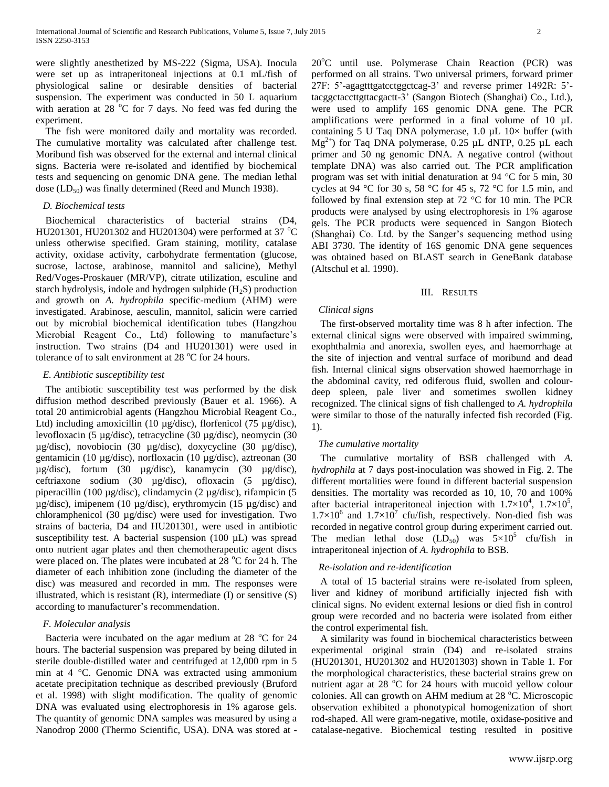were slightly anesthetized by MS-222 (Sigma, USA). Inocula were set up as intraperitoneal injections at 0.1 mL/fish of physiological saline or desirable densities of bacterial suspension. The experiment was conducted in 50 L aquarium with aeration at 28  $^{\circ}$ C for 7 days. No feed was fed during the experiment.

The fish were monitored daily and mortality was recorded. The cumulative mortality was calculated after challenge test. Moribund fish was observed for the external and internal clinical signs. Bacteria were re-isolated and identified by biochemical tests and sequencing on genomic DNA gene. The median lethal dose  $(LD_{50})$  was finally determined (Reed and Munch 1938).

#### *D. Biochemical tests*

Biochemical characteristics of bacterial strains (D4, HU201301, HU201302 and HU201304) were performed at 37  $^{\circ}$ C unless otherwise specified. Gram staining, motility, catalase activity, oxidase activity, carbohydrate fermentation (glucose, sucrose, lactose, arabinose, mannitol and salicine), Methyl Red/Voges-Proskauer (MR/VP), citrate utilization, esculine and starch hydrolysis, indole and hydrogen sulphide  $(H_2S)$  production and growth on *A. hydrophila* specific-medium (AHM) were investigated. Arabinose, aesculin, mannitol, salicin were carried out by microbial biochemical identification tubes (Hangzhou Microbial Reagent Co., Ltd) following to manufacture's instruction. Two strains (D4 and HU201301) were used in tolerance of to salt environment at  $28\text{ °C}$  for  $24$  hours.

#### *E. Antibiotic susceptibility test*

The antibiotic susceptibility test was performed by the disk diffusion method described previously (Bauer et al. 1966). A total 20 antimicrobial agents (Hangzhou Microbial Reagent Co., Ltd) including amoxicillin (10 µg/disc), florfenicol (75 µg/disc), levofloxacin (5 µg/disc), tetracycline (30 µg/disc), neomycin (30 µg/disc), novobiocin (30 µg/disc), doxycycline (30 µg/disc), gentamicin (10 µg/disc), norfloxacin (10 µg/disc), aztreonan (30 µg/disc), fortum (30 µg/disc), kanamycin (30 µg/disc), ceftriaxone sodium (30 µg/disc), ofloxacin (5 µg/disc), piperacillin (100 µg/disc), clindamycin (2 µg/disc), rifampicin (5 µg/disc), imipenem (10 µg/disc), erythromycin (15 µg/disc) and chloramphenicol (30 µg/disc) were used for investigation. Two strains of bacteria, D4 and HU201301, were used in antibiotic susceptibility test. A bacterial suspension (100 µL) was spread onto nutrient agar plates and then chemotherapeutic agent discs were placed on. The plates were incubated at  $28\degree$ C for  $24$  h. The diameter of each inhibition zone (including the diameter of the disc) was measured and recorded in mm. The responses were illustrated, which is resistant  $(R)$ , intermediate  $(I)$  or sensitive  $(S)$ according to manufacturer's recommendation.

#### *F. Molecular analysis*

Bacteria were incubated on the agar medium at 28  $^{\circ}$ C for 24 hours. The bacterial suspension was prepared by being diluted in sterile double-distilled water and centrifuged at 12,000 rpm in 5 min at 4 °C. Genomic DNA was extracted using ammonium acetate precipitation technique as described previously (Bruford et al. 1998) with slight modification. The quality of genomic DNA was evaluated using electrophoresis in 1% agarose gels. The quantity of genomic DNA samples was measured by using a Nanodrop 2000 (Thermo Scientific, USA). DNA was stored at -

 $20^{\circ}$ C until use. Polymerase Chain Reaction (PCR) was performed on all strains. Two universal primers, forward primer 27F: 5'-agagtttgatcctggctcag-3' and reverse primer 1492R: 5' tacggctaccttgttacgactt-3' (Sangon Biotech (Shanghai) Co., Ltd.), were used to amplify 16S genomic DNA gene. The PCR amplifications were performed in a final volume of 10  $\mu$ L containing 5 U Taq DNA polymerase,  $1.0 \mu L$   $10 \times$  buffer (with  $Mg^{2+}$ ) for Taq DNA polymerase, 0.25 µL dNTP, 0.25 µL each primer and 50 ng genomic DNA. A negative control (without template DNA) was also carried out. The PCR amplification program was set with initial denaturation at 94 °C for 5 min, 30 cycles at 94 °C for 30 s, 58 °C for 45 s, 72 °C for 1.5 min, and followed by final extension step at 72 °C for 10 min. The PCR products were analysed by using electrophoresis in 1% agarose gels. The PCR products were sequenced in Sangon Biotech (Shanghai) Co. Ltd. by the Sanger's sequencing method using ABI 3730. The identity of 16S genomic DNA gene sequences was obtained based on BLAST search in GeneBank database (Altschul et al. 1990).

#### III. RESULTS

#### *Clinical signs*

The first-observed mortality time was 8 h after infection. The external clinical signs were observed with impaired swimming, exophthalmia and anorexia, swollen eyes, and haemorrhage at the site of injection and ventral surface of moribund and dead fish. Internal clinical signs observation showed haemorrhage in the abdominal cavity, red odiferous fluid, swollen and colourdeep spleen, pale liver and sometimes swollen kidney recognized. The clinical signs of fish challenged to *A. hydrophila* were similar to those of the naturally infected fish recorded (Fig. 1).

#### *The cumulative mortality*

The cumulative mortality of BSB challenged with *A. hydrophila* at 7 days post-inoculation was showed in Fig. 2. The different mortalities were found in different bacterial suspension densities. The mortality was recorded as 10, 10, 70 and 100% after bacterial intraperitoneal injection with  $1.7 \times 10^4$ ,  $1.7 \times 10^5$ ,  $1.7 \times 10^6$  and  $1.7 \times 10^7$  cfu/fish, respectively. Non-died fish was recorded in negative control group during experiment carried out. The median lethal dose  $(LD_{50})$  was  $5\times10^5$  cfu/fish in intraperitoneal injection of *A. hydrophila* to BSB.

#### *Re-isolation and re-identification*

A total of 15 bacterial strains were re-isolated from spleen, liver and kidney of moribund artificially injected fish with clinical signs. No evident external lesions or died fish in control group were recorded and no bacteria were isolated from either the control experimental fish.

A similarity was found in biochemical characteristics between experimental original strain (D4) and re-isolated strains (HU201301, HU201302 and HU201303) shown in Table 1. For the morphological characteristics, these bacterial strains grew on nutrient agar at  $28 \degree C$  for  $24$  hours with mucoid yellow colour colonies. All can growth on AHM medium at 28 °C. Microscopic observation exhibited a phonotypical homogenization of short rod-shaped. All were gram-negative, motile, oxidase-positive and catalase-negative. Biochemical testing resulted in positive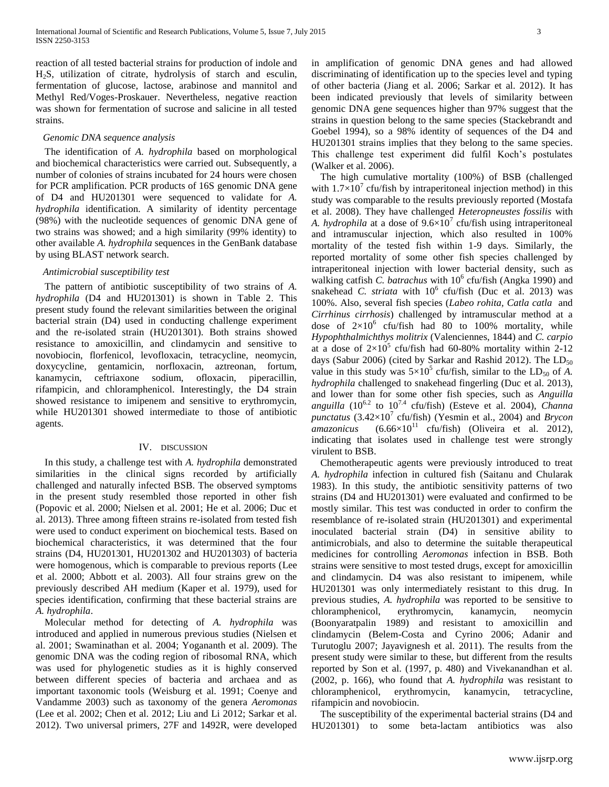reaction of all tested bacterial strains for production of indole and H2S, utilization of citrate, hydrolysis of starch and esculin, fermentation of glucose, lactose, arabinose and mannitol and Methyl Red/Voges-Proskauer. Nevertheless, negative reaction was shown for fermentation of sucrose and salicine in all tested strains.

#### *Genomic DNA sequence analysis*

The identification of *A. hydrophila* based on morphological and biochemical characteristics were carried out. Subsequently, a number of colonies of strains incubated for 24 hours were chosen for PCR amplification. PCR products of 16S genomic DNA gene of D4 and HU201301 were sequenced to validate for *A. hydrophila* identification. A similarity of identity percentage (98%) with the nucleotide sequences of genomic DNA gene of two strains was showed; and a high similarity (99% identity) to other available *A. hydrophila* sequences in the GenBank database by using BLAST network search.

#### *Antimicrobial susceptibility test*

The pattern of antibiotic susceptibility of two strains of *A. hydrophila* (D4 and HU201301) is shown in Table 2. This present study found the relevant similarities between the original bacterial strain (D4) used in conducting challenge experiment and the re-isolated strain (HU201301). Both strains showed resistance to amoxicillin, and clindamycin and sensitive to novobiocin, florfenicol, levofloxacin, tetracycline, neomycin, doxycycline, gentamicin, norfloxacin, aztreonan, fortum, kanamycin, ceftriaxone sodium, ofloxacin, piperacillin, rifampicin, and chloramphenicol. Interestingly, the D4 strain showed resistance to imipenem and sensitive to erythromycin, while HU201301 showed intermediate to those of antibiotic agents.

#### IV. DISCUSSION

In this study, a challenge test with *A. hydrophila* demonstrated similarities in the clinical signs recorded by artificially challenged and naturally infected BSB. The observed symptoms in the present study resembled those reported in other fish (Popovic et al. 2000; Nielsen et al. 2001; He et al. 2006; Duc et al. 2013). Three among fifteen strains re-isolated from tested fish were used to conduct experiment on biochemical tests. Based on biochemical characteristics, it was determined that the four strains (D4, HU201301, HU201302 and HU201303) of bacteria were homogenous, which is comparable to previous reports (Lee et al. 2000; Abbott et al. 2003). All four strains grew on the previously described AH medium (Kaper et al. 1979), used for species identification, confirming that these bacterial strains are *A. hydrophila*.

Molecular method for detecting of *A. hydrophila* was introduced and applied in numerous previous studies (Nielsen et al. 2001; Swaminathan et al. 2004; Yogananth et al. 2009). The genomic DNA was the coding region of ribosomal RNA, which was used for phylogenetic studies as it is highly conserved between different species of bacteria and archaea and as important taxonomic tools (Weisburg et al. 1991; Coenye and Vandamme 2003) such as taxonomy of the genera *Aeromonas* (Lee et al. 2002; Chen et al. 2012; Liu and Li 2012; Sarkar et al. 2012). Two universal primers, 27F and 1492R, were developed in amplification of genomic DNA genes and had allowed discriminating of identification up to the species level and typing of other bacteria (Jiang et al. 2006; Sarkar et al. 2012). It has been indicated previously that levels of similarity between genomic DNA gene sequences higher than 97% suggest that the strains in question belong to the same species (Stackebrandt and Goebel 1994), so a 98% identity of sequences of the D4 and HU201301 strains implies that they belong to the same species. This challenge test experiment did fulfil Koch's postulates (Walker et al. 2006).

The high cumulative mortality (100%) of BSB (challenged with  $1.7 \times 10^7$  cfu/fish by intraperitoneal injection method) in this study was comparable to the results previously reported (Mostafa et al. 2008). They have challenged *Heteropneustes fossilis* with A. *hydrophila* at a dose of  $9.6 \times 10^7$  cfu/fish using intraperitoneal and intramuscular injection, which also resulted in 100% mortality of the tested fish within 1-9 days. Similarly, the reported mortality of some other fish species challenged by intraperitoneal injection with lower bacterial density, such as walking catfish *C. batrachus* with 10<sup>6</sup> cfu/fish (Angka 1990) and snakehead *C. striata* with 10<sup>6</sup> cfu/fish (Duc et al. 2013) was 100%. Also, several fish species (*Labeo rohita, Catla catla* and *Cirrhinus cirrhosis*) challenged by intramuscular method at a dose of  $2\times10^6$  cfu/fish had 80 to 100% mortality, while *Hypophthalmichthys molitrix* (Valenciennes, 1844) and *C. carpio*  at a dose of  $2\times10^5$  cfu/fish had 60-80% mortality within 2-12 days (Sabur 2006) (cited by Sarkar and Rashid 2012). The  $LD_{50}$ value in this study was  $5 \times 10^5$  cfu/fish, similar to the LD<sub>50</sub> of *A*. *hydrophila* challenged to snakehead fingerling (Duc et al. 2013), and lower than for some other fish species, such as *Anguilla*  anguilla  $(10^{6.2}$  to  $10^{7.4}$  cfu/fish) (Esteve et al. 2004), *Channa*  $punctatus$  (3.42×10<sup>7</sup> cfu/fish) (Yesmin et al., 2004) and *Brycon*  $a$ *mazonicus* (6.66×10<sup>11</sup> cfu/fish) (Oliveira et al. 2012), indicating that isolates used in challenge test were strongly virulent to BSB.

Chemotherapeutic agents were previously introduced to treat *A. hydrophila* infection in cultured fish (Saitanu and Chularak 1983). In this study, the antibiotic sensitivity patterns of two strains (D4 and HU201301) were evaluated and confirmed to be mostly similar. This test was conducted in order to confirm the resemblance of re-isolated strain (HU201301) and experimental inoculated bacterial strain (D4) in sensitive ability to antimicrobials, and also to determine the suitable therapeutical medicines for controlling *Aeromonas* infection in BSB. Both strains were sensitive to most tested drugs, except for amoxicillin and clindamycin. D4 was also resistant to imipenem, while HU201301 was only intermediately resistant to this drug. In previous studies, *A. hydrophila* was reported to be sensitive to chloramphenicol, erythromycin, kanamycin, neomycin (Boonyaratpalin 1989) and resistant to amoxicillin and clindamycin (Belem-Costa and Cyrino 2006; Adanir and Turutoglu 2007; Jayavignesh et al. 2011). The results from the present study were similar to these, but different from the results reported by Son et al. (1997, p. 480) and Vivekanandhan et al. (2002, p. 166), who found that *A. hydrophila* was resistant to chloramphenicol, erythromycin, kanamycin, tetracycline, rifampicin and novobiocin.

The susceptibility of the experimental bacterial strains (D4 and HU201301) to some beta-lactam antibiotics was also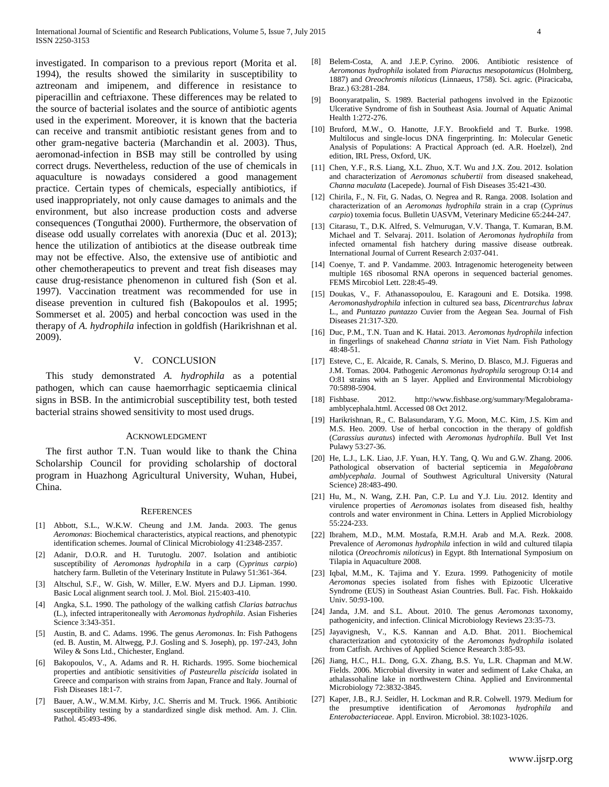investigated. In comparison to a previous report (Morita et al. 1994), the results showed the similarity in susceptibility to aztreonam and imipenem, and difference in resistance to piperacillin and ceftriaxone. These differences may be related to the source of bacterial isolates and the source of antibiotic agents used in the experiment. Moreover, it is known that the bacteria can receive and transmit antibiotic resistant genes from and to other gram-negative bacteria (Marchandin et al. 2003). Thus, aeromonad-infection in BSB may still be controlled by using correct drugs. Nevertheless, reduction of the use of chemicals in aquaculture is nowadays considered a good management practice. Certain types of chemicals, especially antibiotics, if used inappropriately, not only cause damages to animals and the environment, but also increase production costs and adverse consequences (Tonguthai 2000). Furthermore, the observation of disease odd usually correlates with anorexia (Duc et al. 2013); hence the utilization of antibiotics at the disease outbreak time may not be effective. Also, the extensive use of antibiotic and other chemotherapeutics to prevent and treat fish diseases may cause drug-resistance phenomenon in cultured fish (Son et al. 1997). Vaccination treatment was recommended for use in disease prevention in cultured fish (Bakopoulos et al. 1995; Sommerset et al. 2005) and herbal concoction was used in the therapy of *A. hydrophila* infection in goldfish (Harikrishnan et al. 2009).

## V. CONCLUSION

This study demonstrated *A. hydrophila* as a potential pathogen, which can cause haemorrhagic septicaemia clinical signs in BSB. In the antimicrobial susceptibility test, both tested bacterial strains showed sensitivity to most used drugs.

#### ACKNOWLEDGMENT

The first author T.N. Tuan would like to thank the China Scholarship Council for providing scholarship of doctoral program in Huazhong Agricultural University, Wuhan, Hubei, China.

#### **REFERENCES**

- [1] Abbott, S.L., W.K.W. Cheung and J.M. Janda. 2003. The genus *Aeromonas*: Biochemical characteristics, atypical reactions, and phenotypic identification schemes. Journal of Clinical Microbiology 41:2348-2357.
- [2] Adanir, D.O.R. and H. Turutoglu. 2007. Isolation and antibiotic susceptibility of *Aeromonas hydrophila* in a carp (*Cyprinus carpio*) hatchery farm. Bulletin of the Veterinary Institute in Pulawy 51:361-364.
- [3] Altschul, S.F., W. Gish, W. Miller, E.W. Myers and D.J. Lipman. 1990. Basic Local alignment search tool. J. Mol. Biol. 215:403-410.
- [4] Angka, S.L. 1990. The pathology of the walking catfish *Clarias batrachus* (L.), infected intraperitoneally with *Aeromonas hydrophila*. Asian Fisheries Science 3:343-351.
- [5] Austin, B. and C. Adams. 1996. The genus *Aeromonas*. In: Fish Pathogens (ed. B. Austin, M. Altwegg, P.J. Gosling and S. Joseph), pp. 197-243, John Wiley & Sons Ltd., Chichester, England.
- [6] Bakopoulos, V., A. Adams and R. H. Richards. 1995. Some biochemical properties and antibiotic sensitivities *of Pasteurella piscicida* isolated in Greece and comparison with strains from Japan, France and Italy. Journal of Fish Diseases 18:1-7.
- [7] Bauer, A.W., W.M.M. Kirby, J.C. Sherris and M. Truck. 1966. Antibiotic susceptibility testing by a standardized single disk method. Am. J. Clin. Pathol. 45:493-496.
- [8] Belem-Costa, A. and J.E.P. Cyrino. 2006. Antibiotic resistence of *Aeromonas hydrophila* isolated from *Piaractus mesopotamicus* (Holmberg, 1887) and *Oreochromis niloticus* (Linnaeus, 1758). Sci. agric. (Piracicaba, Braz.) 63:281-284.
- [9] Boonyaratpalin, S. 1989. Bacterial pathogens involved in the Epizootic Ulcerative Syndrome of fish in Southeast Asia. Journal of Aquatic Animal Health 1:272-276.
- [10] Bruford, M.W., O. Hanotte, J.F.Y. Brookfield and T. Burke. 1998. Multilocus and single-locus DNA fingerprinting. In: Molecular Genetic Analysis of Populations: A Practical Approach (ed. A.R. Hoelzel), 2nd edition, IRL Press, Oxford, UK.
- [11] Chen, Y.F., R.S. Liang, X.L. Zhuo, X.T. Wu and J.X. Zou. 2012. Isolation and characterization of *Aeromonas schubertii* from diseased snakehead, *Channa maculata* (Lacepede). Journal of Fish Diseases 35:421-430.
- [12] Chirila, F., N. Fit, G. Nadas, O. Negrea and R. Ranga. 2008. Isolation and characterization of an *Aeromonas hydrophila* strain in a crap (*Cyprinus carpio*) toxemia focus. Bulletin UASVM, Veterinary Medicine 65:244-247.
- [13] Citarasu, T., D.K. Alfred, S. Velmurugan, V.V. Thanga, T. Kumaran, B.M. Michael and T. Selvaraj. 2011. Isolation of *Aeromonas hydrophila* from infected ornamental fish hatchery during massive disease outbreak. International Journal of Current Research 2:037-041.
- [14] Coenye, T. and P. Vandamme. 2003. Intragenomic heterogeneity between multiple 16S ribosomal RNA operons in sequenced bacterial genomes. FEMS Mircobiol Lett. 228:45-49.
- [15] Doukas, V., F. Athanassopoulou, E. Karagouni and E. Dotsika. 1998. *Aeromonashydrophila* infection in cultured sea bass, *Dicentrarchus labrax* L., and *Puntazzo puntazzo* Cuvier from the Aegean Sea. Journal of Fish Diseases 21:317-320.
- [16] Duc, P.M., T.N. Tuan and K. Hatai. 2013. *Aeromonas hydrophila* infection in fingerlings of snakehead *Channa striata* in Viet Nam. Fish Pathology 48:48-51.
- [17] Esteve, C., E. Alcaide, R. Canals, S. Merino, D. Blasco, M.J. Figueras and J.M. Tomas. 2004. Pathogenic *Aeromonas hydrophila* serogroup O:14 and O:81 strains with an S layer. Applied and Environmental Microbiology 70:5898-5904.
- [18] Fishbase. 2012. http://www.fishbase.org/summary/Megalobramaamblycephala.html. Accessed 08 Oct 2012.
- [19] Harikrishnan, R., C. Balasundaram, Y.G. Moon, M.C. Kim, J.S. Kim and M.S. Heo. 2009. Use of herbal concoction in the therapy of goldfish (*Carassius auratus*) infected with *Aeromonas hydrophila*. Bull Vet Inst Pulawy 53:27-36.
- [20] He, L.J., L.K. Liao, J.F. Yuan, H.Y. Tang, Q. Wu and G.W. Zhang. 2006. Pathological observation of bacterial septicemia in *Megalobrana amblycephala*. Journal of Southwest Agricultural University (Natural Science) 28:483-490.
- [21] Hu, M., N. Wang, Z.H. Pan, C.P. Lu and Y.J. Liu. 2012. Identity and virulence properties of *Aeromonas* isolates from diseased fish, healthy controls and water environment in China. Letters in Applied Microbiology 55:224-233.
- [22] Ibrahem, M.D., M.M. Mostafa, R.M.H. Arab and M.A. Rezk. 2008. Prevalence of *Aeromonas hydrophila* infection in wild and cultured tilapia nilotica (*Oreochromis niloticus*) in Egypt. 8th International Symposium on Tilapia in Aquaculture 2008.
- [23] Iqbal, M.M., K. Tajima and Y. Ezura. 1999. Pathogenicity of motile *Aeromonas* species isolated from fishes with Epizootic Ulcerative Syndrome (EUS) in Southeast Asian Countries. Bull. Fac. Fish. Hokkaido Univ. 50:93-100.
- [24] Janda, J.M. and S.L. About. 2010. The genus *Aeromonas* taxonomy, pathogenicity, and infection. Clinical Microbiology Reviews 23:35-73.
- [25] Jayavignesh, V., K.S. Kannan and A.D. Bhat. 2011. Biochemical characterization and cytotoxicity of the *Aeromonas hydrophila* isolated from Catfish. Archives of Applied Science Research 3:85-93.
- [26] Jiang, H.C., H.L. Dong, G.X. Zhang, B.S. Yu, L.R. Chapman and M.W. Fields. 2006. Microbial diversity in water and sediment of Lake Chaka, an athalassohaline lake in northwestern China. Applied and Environmental Microbiology 72:3832-3845.
- [27] Kaper, J.B., R.J. Seidler, H. Lockman and R.R. Colwell. 1979. Medium for the presumptive identification of *Aeromonas hydrophila* and *Enterobacteriaceae*. Appl. Environ. Microbiol. 38:1023-1026.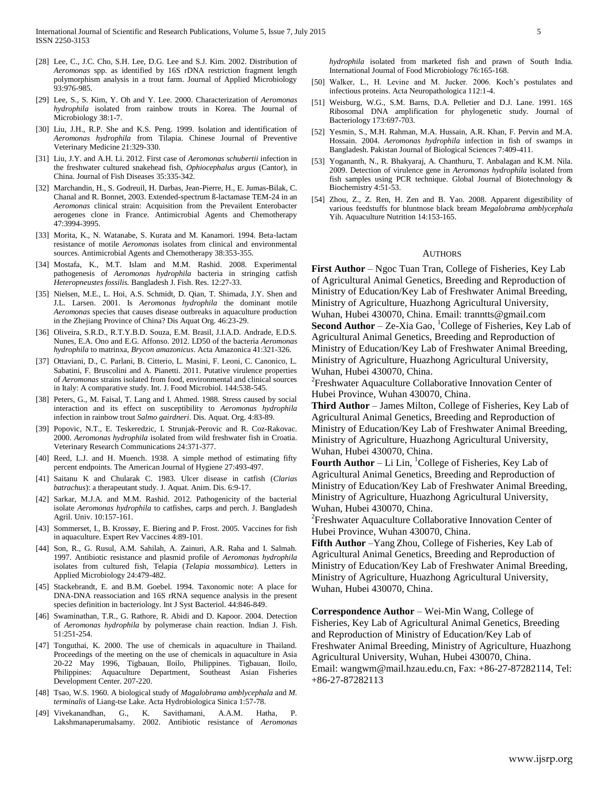- [28] Lee, C., J.C. Cho, S.H. Lee, D.G. Lee and S.J. Kim. 2002. Distribution of *Aeromonas* spp. as identified by 16S rDNA restriction fragment length polymorphism analysis in a trout farm. Journal of Applied Microbiology 93:976-985.
- [29] Lee, S., S. Kim, Y. Oh and Y. Lee. 2000. Characterization of *Aeromonas hydrophila* isolated from rainbow trouts in Korea. The Journal of Microbiology 38:1-7.
- [30] Liu, J.H., R.P. She and K.S. Peng. 1999. Isolation and identification of *Aeromonas hydrophila* from Tilapia. Chinese Journal of Preventive Veterinary Medicine 21:329-330.
- [31] Liu, J.Y. and A.H. Li. 2012. First case of *Aeromonas schubertii* infection in the freshwater cultured snakehead fish, *Ophiocephalus argus* (Cantor), in China. Journal of Fish Diseases 35:335-342.
- [32] Marchandin, H., S. Godreuil, H. Darbas, Jean-Pierre, H., E. Jumas-Bilak, C. Chanal and R. Bonnet, 2003. Extended-spectrum ß-lactamase TEM-24 in an *Aeromonas* clinical strain: Acquisition from the Prevailent Enterobacter aerogenes clone in France. Antimicrobial Agents and Chemotherapy 47:3994-3995.
- [33] Morita, K., N. Watanabe, S. Kurata and M. Kanamori. 1994. Beta-lactam resistance of motile *Aeromonas* isolates from clinical and environmental sources. Antimicrobial Agents and Chemotherapy 38:353-355.
- [34] Mostafa, K., M.T. Islam and M.M. Rashid. 2008. Experimental pathogenesis of *Aeromonas hydrophila* bacteria in stringing catfish *Heteropneustes fossilis.* Bangladesh J. Fish. Res. 12:27-33.
- [35] Nielsen, M.E., L. Hoi, A.S. Schmidt, D. Qian, T. Shimada, J.Y. Shen and J.L. Larsen. 2001. Is *Aeromonas hydrophila* the dominant motile *Aeromonas* species that causes disease outbreaks in aquaculture production in the Zhejiang Province of China? Dis Aquat Org. 46:23-29.
- [36] Oliveira, S.R.D., R.T.Y.B.D. Souza, E.M. Brasil, J.I.A.D. Andrade, E.D.S. Nunes, E.A. Ono and E.G. Affonso. 2012. LD50 of the bacteria *Aeromonas hydrophila* to matrinxa, *Brycon amazonicus*. Acta Amazonica 41:321-326.
- [37] Ottaviani, D., C. Parlani, B. Citterio, L. Masini, F. Leoni, C. Canonico, L. Sabatini, F. Bruscolini and A. Pianetti. 2011. Putative virulence properties of *Aeromonas* strains isolated from food, environmental and clinical sources in Italy: A comparative study. Int. J. Food Microbiol. 144:538-545.
- [38] Peters, G., M. Faisal, T. Lang and I. Ahmed. 1988. Stress caused by social interaction and its effect on susceptibility to *Aeromonas hydrophila* infection in rainbow trout *Salmo gairdneri*. Dis. Aquat. Org. 4:83-89.
- [39] Popovic, N.T., E. Teskeredzic, I. Strunjak-Perovic and R. Coz-Rakovac. 2000. *Aeromonas hydrophila* isolated from wild freshwater fish in Croatia. Veterinary Research Communications 24:371-377.
- [40] Reed, L.J. and H. Muench. 1938. A simple method of estimating fifty percent endpoints. The American Journal of Hygiene 27:493-497.
- [41] Saitanu K and Chularak C. 1983. Ulcer disease in catfish (*Clarias batrachus*): a therapeutant study. J. Aquat. Anim. Dis. 6:9-17.
- [42] Sarkar, M.J.A. and M.M. Rashid. 2012. Pathogenicity of the bacterial isolate *Aeromonas hydrophila* to catfishes, carps and perch. J. Bangladesh Agril. Univ. 10:157-161.
- [43] Sommerset, I., B. Krossøy, E. Biering and P. Frost. 2005. Vaccines for fish in aquaculture. Expert Rev Vaccines 4:89-101.
- [44] Son, R., G. Rusul, A.M. Sahilah, A. Zainuri, A.R. Raha and I. Salmah. 1997. Antibiotic resistance and plasmid profile of *Aeromonas hydrophila*  isolates from cultured fish, Telapia (*Telapia mossambica*). Letters in Applied Microbiology 24:479-482.
- [45] Stackebrandt, E. and B.M. Goebel. 1994. Taxonomic note: A place for DNA-DNA reassociation and 16S rRNA sequence analysis in the present species definition in bacteriology. Int J Syst Bacteriol. 44:846-849.
- [46] Swaminathan, T.R., G. Rathore, R. Abidi and D. Kapoor. 2004. Detection of *Aeromonas hydrophila* by polymerase chain reaction. Indian J. Fish. 51:251-254.
- [47] Tonguthai, K. 2000. The use of chemicals in aquaculture in Thailand. Proceedings of the meeting on the use of chemicals in aquaculture in Asia 20-22 May 1996, Tigbauan, Iloilo, Philippines. Tigbauan, Iloilo, Philippines: Aquaculture Department, Southeast Asian Fisheries Development Center. 207-220.
- [48] Tsao, W.S. 1960. A biological study of *Magalobrama amblycephala* and *M. terminalis* of Liang-tse Lake. Acta Hydrobiologica Sinica 1:57-78.
- [49] Vivekanandhan, G., K. Savithamani, A.A.M. Hatha, P. Lakshmanaperumalsamy. 2002. Antibiotic resistance of *Aeromonas*

*hydrophila* isolated from marketed fish and prawn of South India. International Journal of Food Microbiology 76:165-168.

- [50] Walker, L., H. Levine and M. Jucker. 2006. Koch's postulates and infectious proteins. Acta Neuropathologica 112:1-4.
- [51] Weisburg, W.G., S.M. Barns, D.A. Pelletier and D.J. Lane. 1991. 16S Ribosomal DNA amplification for phylogenetic study. Journal of Bacteriology 173:697-703.
- [52] Yesmin, S., M.H. Rahman, M.A. Hussain, A.R. Khan, F. Pervin and M.A. Hossain. 2004. *Aeromonas hydrophila* infection in fish of swamps in Bangladesh. Pakistan Journal of Biological Sciences 7:409-411.
- [53] Yogananth, N., R. Bhakyaraj, A. Chanthuru, T. Anbalagan and K.M. Nila. 2009. Detection of virulence gene in *Aeromonas hydrophila* isolated from fish samples using PCR technique. Global Journal of Biotechnology & Biochemistry 4:51-53.
- [54] Zhou, Z., Z. Ren, H. Zen and B. Yao. 2008. Apparent digestibility of various feedstuffs for bluntnose black bream *Megalobrama amblycephala*  Yih. Aquaculture Nutrition 14:153-165.

#### **AUTHORS**

**First Author** – Ngoc Tuan Tran, College of Fisheries, Key Lab of Agricultural Animal Genetics, Breeding and Reproduction of Ministry of Education/Key Lab of Freshwater Animal Breeding, Ministry of Agriculture, Huazhong Agricultural University, Wuhan, Hubei 430070, China. Email: tranntts@gmail.com

**Second Author** – Ze-Xia Gao, <sup>1</sup>College of Fisheries, Key Lab of Agricultural Animal Genetics, Breeding and Reproduction of Ministry of Education/Key Lab of Freshwater Animal Breeding, Ministry of Agriculture, Huazhong Agricultural University, Wuhan, Hubei 430070, China.

<sup>2</sup>Freshwater Aquaculture Collaborative Innovation Center of Hubei Province, Wuhan 430070, China.

**Third Author** – James Milton, College of Fisheries, Key Lab of Agricultural Animal Genetics, Breeding and Reproduction of Ministry of Education/Key Lab of Freshwater Animal Breeding, Ministry of Agriculture, Huazhong Agricultural University, Wuhan, Hubei 430070, China.

**Fourth Author** – Li Lin, <sup>1</sup>College of Fisheries, Key Lab of Agricultural Animal Genetics, Breeding and Reproduction of Ministry of Education/Key Lab of Freshwater Animal Breeding, Ministry of Agriculture, Huazhong Agricultural University, Wuhan, Hubei 430070, China.

<sup>2</sup> Freshwater Aquaculture Collaborative Innovation Center of Hubei Province, Wuhan 430070, China.

**Fifth Author** –Yang Zhou, College of Fisheries, Key Lab of Agricultural Animal Genetics, Breeding and Reproduction of Ministry of Education/Key Lab of Freshwater Animal Breeding, Ministry of Agriculture, Huazhong Agricultural University, Wuhan, Hubei 430070, China.

**Correspondence Author** – Wei-Min Wang, College of Fisheries, Key Lab of Agricultural Animal Genetics, Breeding and Reproduction of Ministry of Education/Key Lab of Freshwater Animal Breeding, Ministry of Agriculture, Huazhong Agricultural University, Wuhan, Hubei 430070, China. Email: wangwm@mail.hzau.edu.cn, Fax: +86-27-87282114, Tel: +86-27-87282113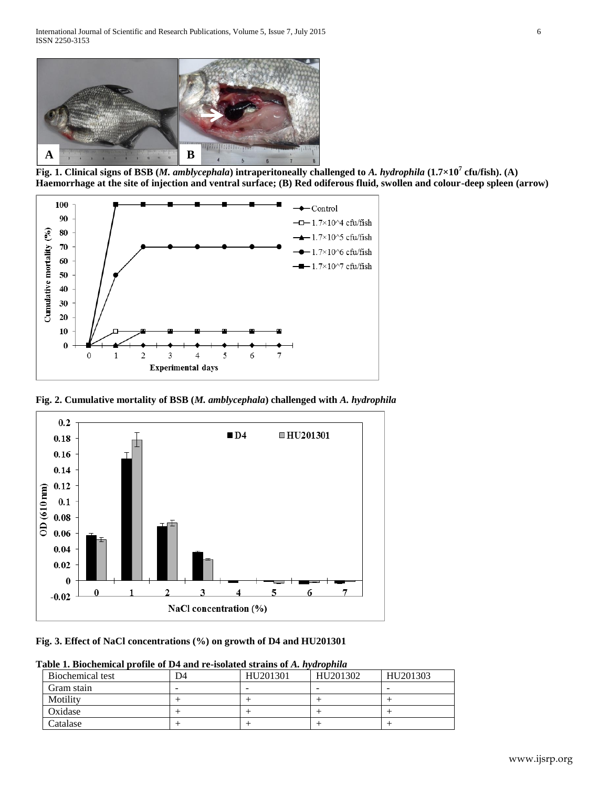

**Fig. 1. Clinical signs of BSB (***M. amblycephala***) intraperitoneally challenged to** *A. hydrophila* **(1.7×10<sup>7</sup> cfu/fish). (A) Haemorrhage at the site of injection and ventral surface; (B) Red odiferous fluid, swollen and colour-deep spleen (arrow)**



**Fig. 2. Cumulative mortality of BSB (***M. amblycephala***) challenged with** *A. hydrophila*



**Fig. 3. Effect of NaCl concentrations (%) on growth of D4 and HU201301**

| Table 1. Biochemical profile of D4 and re-isolated strains of A. hydrophila |  |
|-----------------------------------------------------------------------------|--|
|                                                                             |  |

| Biochemical test | D4 | HU201301 | HU201302 | HU201303 |
|------------------|----|----------|----------|----------|
| Gram stain       |    | -        |          |          |
| Motility         |    |          |          |          |
| Oxidase          |    |          |          |          |
| Catalase         |    |          |          |          |